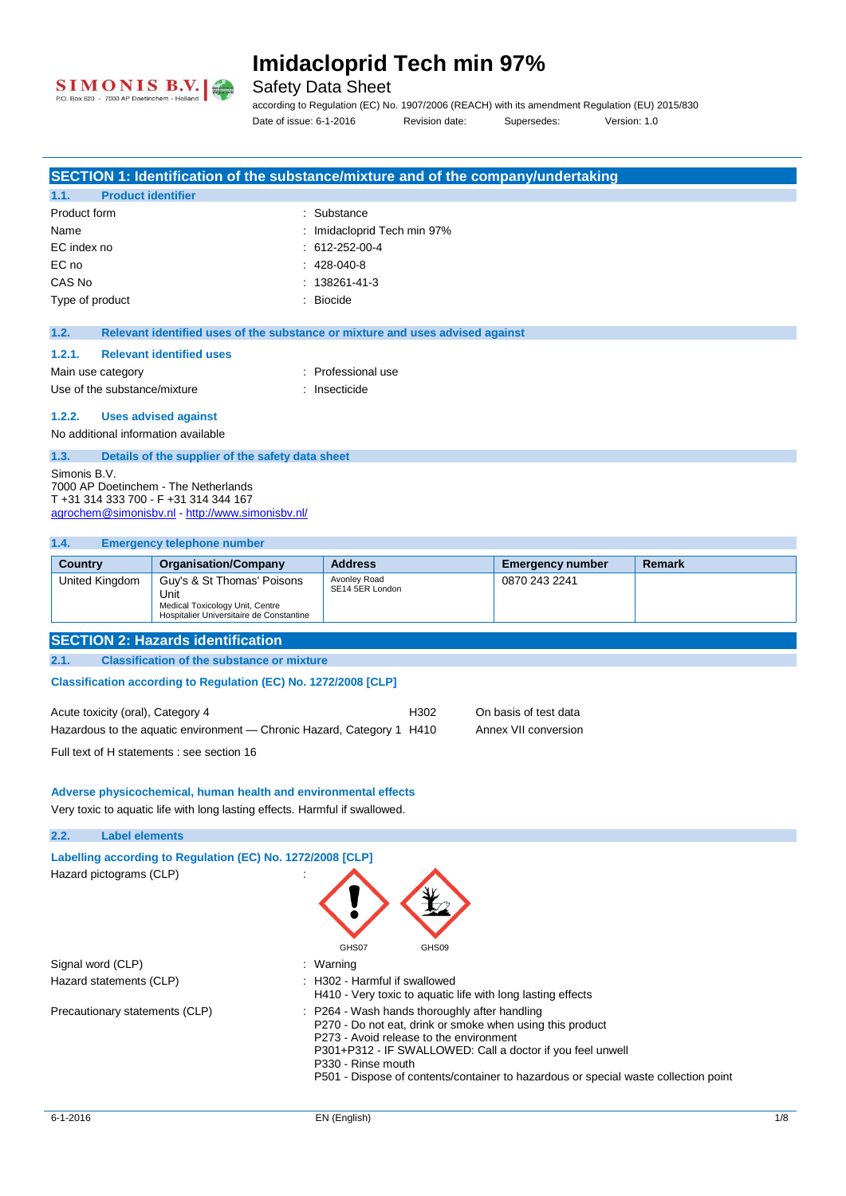

### Safety Data Sheet

**SECTION 1: Identification of the substance/mixture and of the company/undertaking**

according to Regulation (EC) No. 1907/2006 (REACH) with its amendment Regulation (EU) 2015/830 Date of issue: 6-1-2016 Revision date: Supersedes: Version: 1.0

| 1.1.                                         | <b>Product identifier</b>                                                     |                                                                               |                         |               |
|----------------------------------------------|-------------------------------------------------------------------------------|-------------------------------------------------------------------------------|-------------------------|---------------|
| Product form                                 |                                                                               | Substance                                                                     |                         |               |
| Name                                         |                                                                               | Imidacloprid Tech min 97%                                                     |                         |               |
| EC index no                                  |                                                                               | 612-252-00-4                                                                  |                         |               |
| EC no                                        |                                                                               | 428-040-8                                                                     |                         |               |
| CAS No                                       |                                                                               | 138261-41-3                                                                   |                         |               |
| Type of product                              |                                                                               | <b>Biocide</b>                                                                |                         |               |
| 1.2.                                         |                                                                               | Relevant identified uses of the substance or mixture and uses advised against |                         |               |
| 1.2.1.                                       | <b>Relevant identified uses</b>                                               |                                                                               |                         |               |
| Main use category                            |                                                                               | : Professional use                                                            |                         |               |
| Use of the substance/mixture                 |                                                                               | : Insecticide                                                                 |                         |               |
| 1.2.2.                                       | <b>Uses advised against</b>                                                   |                                                                               |                         |               |
| No additional information available          |                                                                               |                                                                               |                         |               |
| 1.3.                                         | Details of the supplier of the safety data sheet                              |                                                                               |                         |               |
| Simonis B.V.                                 |                                                                               |                                                                               |                         |               |
|                                              | 7000 AP Doetinchem - The Netherlands<br>T +31 314 333 700 - F +31 314 344 167 |                                                                               |                         |               |
|                                              | agrochem@simonisbv.nl http://www.simonisbv.nl/                                |                                                                               |                         |               |
|                                              |                                                                               |                                                                               |                         |               |
| 1.4.                                         | <b>Emergency telephone number</b>                                             |                                                                               |                         |               |
| <b>Country</b>                               | <b>Organisation/Company</b>                                                   | <b>Address</b>                                                                | <b>Emergency number</b> | <b>Remark</b> |
| United Kingdom                               | Guy's & St Thomas' Poisons                                                    | Avonley Road<br>SE14 5ER London                                               | 0870 243 2241           |               |
|                                              | Unit<br>Medical Toxicology Unit, Centre                                       |                                                                               |                         |               |
| Hospitalier Universitaire de Constantine     |                                                                               |                                                                               |                         |               |
|                                              |                                                                               |                                                                               |                         |               |
|                                              | <b>SECTION 2: Hazards identification</b>                                      |                                                                               |                         |               |
| 2.1.                                         | <b>Classification of the substance or mixture</b>                             |                                                                               |                         |               |
|                                              |                                                                               |                                                                               |                         |               |
|                                              | Classification according to Regulation (EC) No. 1272/2008 [CLP]               |                                                                               |                         |               |
| Acute toxicity (oral), Category 4            |                                                                               | H302                                                                          | On basis of test data   |               |
|                                              | Hazardous to the aquatic environment — Chronic Hazard, Category 1 H410        |                                                                               | Annex VII conversion    |               |
|                                              | Full text of H statements : see section 16                                    |                                                                               |                         |               |
|                                              |                                                                               |                                                                               |                         |               |
|                                              | Adverse physicochemical, human health and environmental effects               |                                                                               |                         |               |
|                                              | Very toxic to aquatic life with long lasting effects. Harmful if swallowed.   |                                                                               |                         |               |
| 2.2.                                         | <b>Label elements</b>                                                         |                                                                               |                         |               |
|                                              |                                                                               |                                                                               |                         |               |
|                                              | Labelling according to Regulation (EC) No. 1272/2008 [CLP]                    |                                                                               |                         |               |
| Hazard pictograms (CLP)                      |                                                                               |                                                                               |                         |               |
|                                              |                                                                               |                                                                               |                         |               |
|                                              |                                                                               |                                                                               |                         |               |
|                                              |                                                                               |                                                                               |                         |               |
|                                              |                                                                               | GHS07<br>GHS09                                                                |                         |               |
| Signal word (CLP)<br>Hazard statements (CLP) |                                                                               | : Warning<br>: H302 - Harmful if swallowed                                    |                         |               |

P270 - Do not eat, drink or smoke when using this product

P301+P312 - IF SWALLOWED: Call a doctor if you feel unwell

P501 - Dispose of contents/container to hazardous or special waste collection point

P273 - Avoid release to the environment

Precautionary statements (CLP) : P264 - Wash hands thoroughly after handling

P330 - Rinse mouth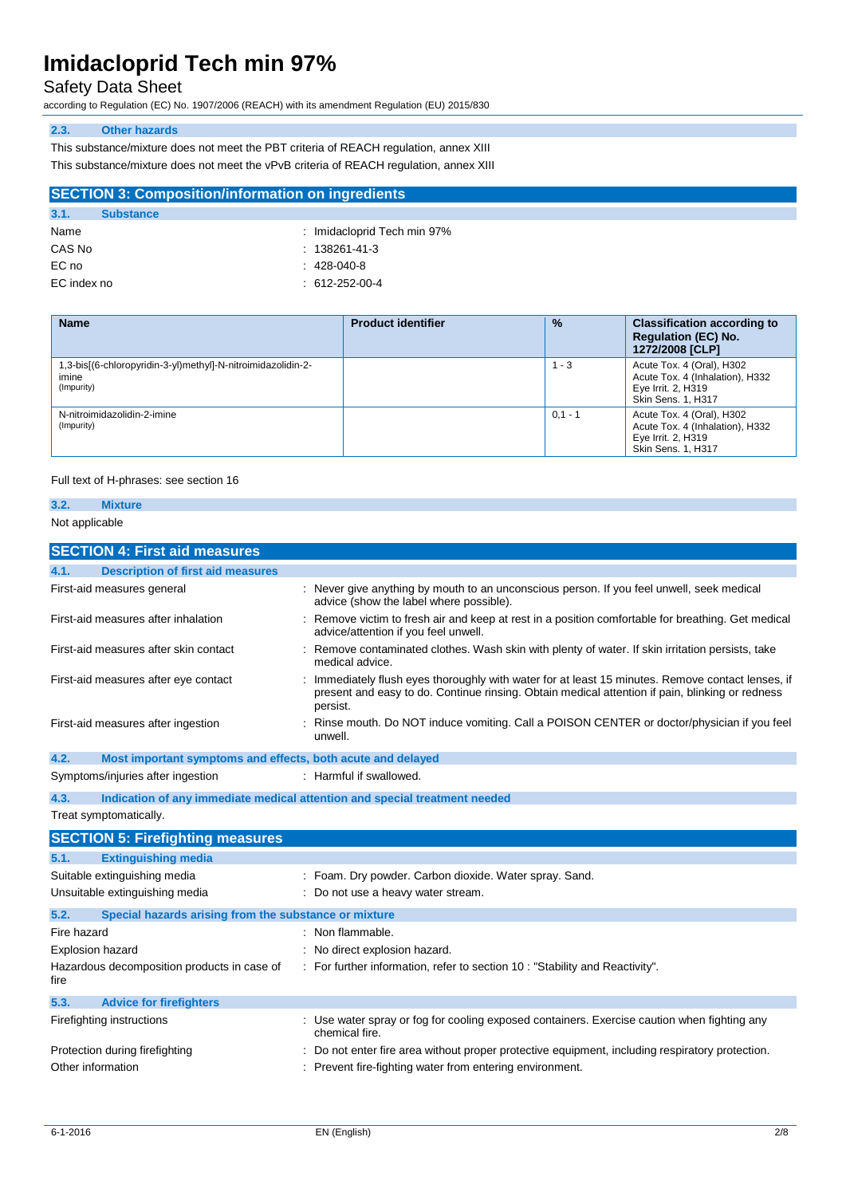### Safety Data Sheet

according to Regulation (EC) No. 1907/2006 (REACH) with its amendment Regulation (EU) 2015/830

#### **2.3. Other hazards**

This substance/mixture does not meet the PBT criteria of REACH regulation, annex XIII This substance/mixture does not meet the vPvB criteria of REACH regulation, annex XIII

| <b>SECTION 3: Composition/information on ingredients</b> |                  |                             |  |
|----------------------------------------------------------|------------------|-----------------------------|--|
| 3.1.                                                     | <b>Substance</b> |                             |  |
| Name                                                     |                  | : Imidacloprid Tech min 97% |  |
| - - - - -                                                |                  | .                           |  |

| CAS No | $: 138261 - 41 - 3$ |
|--------|---------------------|
| EC no  | $: 428-040-8$       |

EC index no : 612-252-00-4

| <b>Name</b>                                                                         | <b>Product identifier</b> | $\frac{9}{6}$ | <b>Classification according to</b><br><b>Regulation (EC) No.</b><br>1272/2008 [CLP]                      |
|-------------------------------------------------------------------------------------|---------------------------|---------------|----------------------------------------------------------------------------------------------------------|
| 1,3-bis[(6-chloropyridin-3-yl)methyl]-N-nitroimidazolidin-2-<br>imine<br>(Impurity) |                           | $1 - 3$       | Acute Tox. 4 (Oral), H302<br>Acute Tox. 4 (Inhalation), H332<br>Eye Irrit. 2, H319<br>Skin Sens. 1, H317 |
| N-nitroimidazolidin-2-imine<br>(Impurity)                                           |                           | $0.1 - 1$     | Acute Tox. 4 (Oral), H302<br>Acute Tox. 4 (Inhalation), H332<br>Eye Irrit. 2, H319<br>Skin Sens. 1, H317 |

#### Full text of H-phrases: see section 16

### **3.2. Mixture** Not applicable

### **SECTION 4: First aid measures 4.1. Description of first aid measures** First-aid measures general interest in the state of the seven give anything by mouth to an unconscious person. If you feel unwell, seek medical advice (show the label where possible). First-aid measures after inhalation : Remove victim to fresh air and keep at rest in a position comfortable for breathing. Get medical advice/attention if you feel unwell. First-aid measures after skin contact : Remove contaminated clothes. Wash skin with plenty of water. If skin irritation persists, take medical advice. First-aid measures after eye contact : Immediately flush eyes thoroughly with water for at least 15 minutes. Remove contact lenses, if present and easy to do. Continue rinsing. Obtain medical attention if pain, blinking or redness persist. First-aid measures after ingestion : Rinse mouth. Do NOT induce vomiting. Call a POISON CENTER or doctor/physician if you feel unwell. **4.2. Most important symptoms and effects, both acute and delayed** Symptoms/injuries after ingestion : Harmful if swallowed. **4.3. Indication of any immediate medical attention and special treatment needed** Treat symptomatically. **SECTION 5: Firefighting measures 5.1. Extinguishing media** Suitable extinguishing media : Foam. Dry powder. Carbon dioxide. Water spray. Sand. Unsuitable extinguishing media : Do not use a heavy water stream. **5.2. Special hazards arising from the substance or mixture** Fire hazard **in the set of the set of the set of the set of the set of the set of the set of the set of the set of the set of the set of the set of the set of the set of the set of the set of the set of the set of the set** Explosion hazard **Explosion hazard** : No direct explosion hazard. Hazardous decomposition products in case of fire : For further information, refer to section 10 : "Stability and Reactivity". **5.3. Advice for firefighters** Firefighting instructions : Use water spray or fog for cooling exposed containers. Exercise caution when fighting any chemical fire. Protection during firefighting **inter antical contents** : Do not enter fire area without proper protective equipment, including respiratory protection. Other information **interest in the set of the Contract Contract Contract Contract Contract Contract Contract Contract Contract Contract Contract Contract Contract Contract Contract Contract Contract Contract Contract Contr**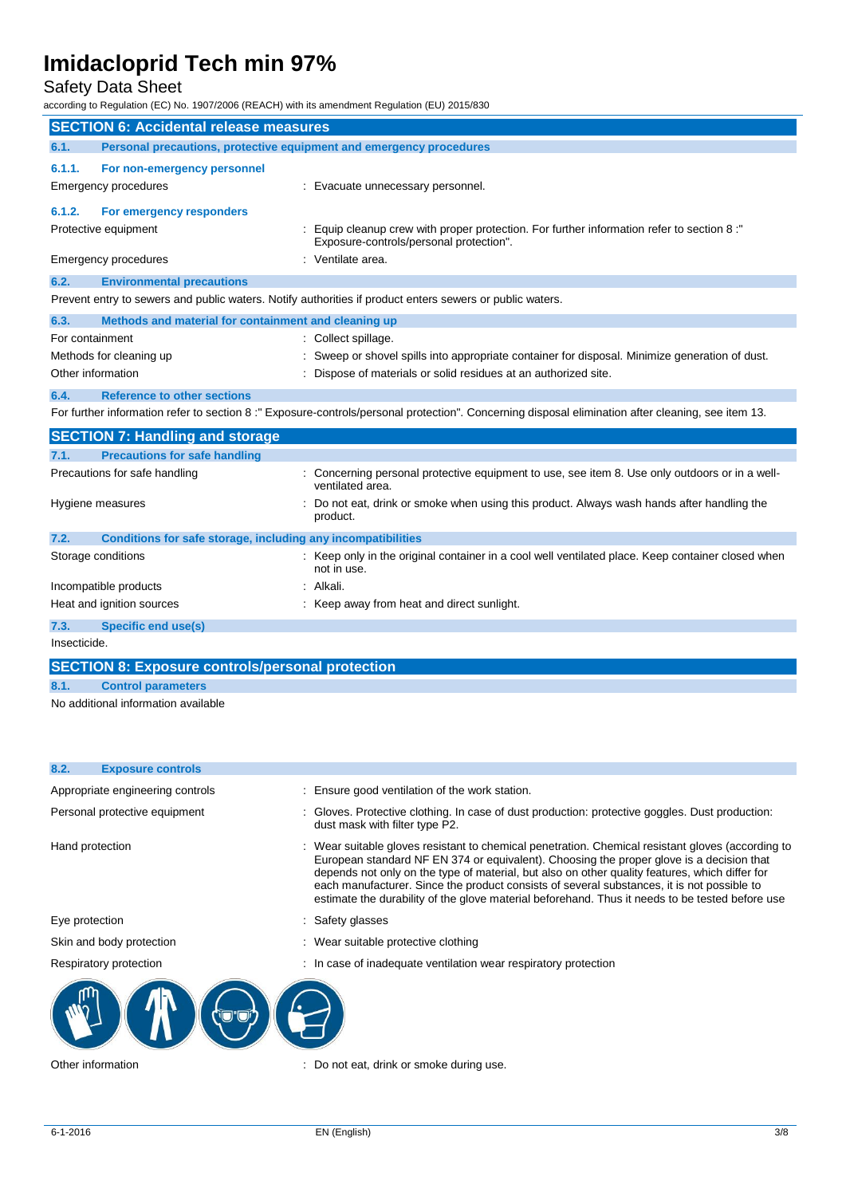## Safety Data Sheet

according to Regulation (EC) No. 1907/2006 (REACH) with its amendment Regulation (EU) 2015/830

| <b>SECTION 6: Accidental release measures</b> |                                                                     |  |                                                                                                                                                   |
|-----------------------------------------------|---------------------------------------------------------------------|--|---------------------------------------------------------------------------------------------------------------------------------------------------|
| 6.1.                                          | Personal precautions, protective equipment and emergency procedures |  |                                                                                                                                                   |
| 6.1.1.                                        | For non-emergency personnel                                         |  |                                                                                                                                                   |
|                                               | Emergency procedures                                                |  | Evacuate unnecessary personnel.                                                                                                                   |
| 6.1.2.                                        | For emergency responders                                            |  |                                                                                                                                                   |
|                                               | Protective equipment                                                |  | Equip cleanup crew with proper protection. For further information refer to section 8:"<br>Exposure-controls/personal protection".                |
|                                               | <b>Emergency procedures</b>                                         |  | : Ventilate area.                                                                                                                                 |
| 6.2.                                          | <b>Environmental precautions</b>                                    |  |                                                                                                                                                   |
|                                               |                                                                     |  | Prevent entry to sewers and public waters. Notify authorities if product enters sewers or public waters.                                          |
| 6.3.                                          | Methods and material for containment and cleaning up                |  |                                                                                                                                                   |
| For containment                               |                                                                     |  | Collect spillage.                                                                                                                                 |
|                                               | Methods for cleaning up                                             |  | Sweep or shovel spills into appropriate container for disposal. Minimize generation of dust.                                                      |
|                                               | Other information                                                   |  | Dispose of materials or solid residues at an authorized site.                                                                                     |
| 6.4.                                          | <b>Reference to other sections</b>                                  |  |                                                                                                                                                   |
|                                               |                                                                     |  | For further information refer to section 8:" Exposure-controls/personal protection". Concerning disposal elimination after cleaning, see item 13. |
|                                               | <b>SECTION 7: Handling and storage</b>                              |  |                                                                                                                                                   |
| 7.1.                                          | <b>Precautions for safe handling</b>                                |  |                                                                                                                                                   |
|                                               | Precautions for safe handling                                       |  | Concerning personal protective equipment to use, see item 8. Use only outdoors or in a well-<br>ventilated area.                                  |
|                                               | Hygiene measures                                                    |  | Do not eat, drink or smoke when using this product. Always wash hands after handling the<br>product.                                              |
| 7.2.                                          | Conditions for safe storage, including any incompatibilities        |  |                                                                                                                                                   |
|                                               | Storage conditions                                                  |  | : Keep only in the original container in a cool well ventilated place. Keep container closed when<br>not in use.                                  |
|                                               | Incompatible products                                               |  | Alkali.                                                                                                                                           |
|                                               | Heat and ignition sources                                           |  | Keep away from heat and direct sunlight.                                                                                                          |
| 7.3.                                          | <b>Specific end use(s)</b>                                          |  |                                                                                                                                                   |
| Insecticide.                                  |                                                                     |  |                                                                                                                                                   |
|                                               | <b>SECTION 8: Exposure controls/personal protection</b>             |  |                                                                                                                                                   |

**8.1. Control parameters**

No additional information available

| 8.2.<br><b>Exposure controls</b> |                                                                                                                                                                                                                                                                                                                                                                                                                                                                                                  |
|----------------------------------|--------------------------------------------------------------------------------------------------------------------------------------------------------------------------------------------------------------------------------------------------------------------------------------------------------------------------------------------------------------------------------------------------------------------------------------------------------------------------------------------------|
| Appropriate engineering controls | : Ensure good ventilation of the work station.                                                                                                                                                                                                                                                                                                                                                                                                                                                   |
| Personal protective equipment    | : Gloves. Protective clothing. In case of dust production: protective goggles. Dust production:<br>dust mask with filter type P2.                                                                                                                                                                                                                                                                                                                                                                |
| Hand protection                  | : Wear suitable gloves resistant to chemical penetration. Chemical resistant gloves (according to<br>European standard NF EN 374 or equivalent). Choosing the proper glove is a decision that<br>depends not only on the type of material, but also on other quality features, which differ for<br>each manufacturer. Since the product consists of several substances, it is not possible to<br>estimate the durability of the glove material beforehand. Thus it needs to be tested before use |
| Eye protection                   | : Safety glasses                                                                                                                                                                                                                                                                                                                                                                                                                                                                                 |
| Skin and body protection         | : Wear suitable protective clothing                                                                                                                                                                                                                                                                                                                                                                                                                                                              |
| Respiratory protection           | : In case of inadequate ventilation wear respiratory protection                                                                                                                                                                                                                                                                                                                                                                                                                                  |
|                                  |                                                                                                                                                                                                                                                                                                                                                                                                                                                                                                  |
| Other information                | : Do not eat, drink or smoke during use.                                                                                                                                                                                                                                                                                                                                                                                                                                                         |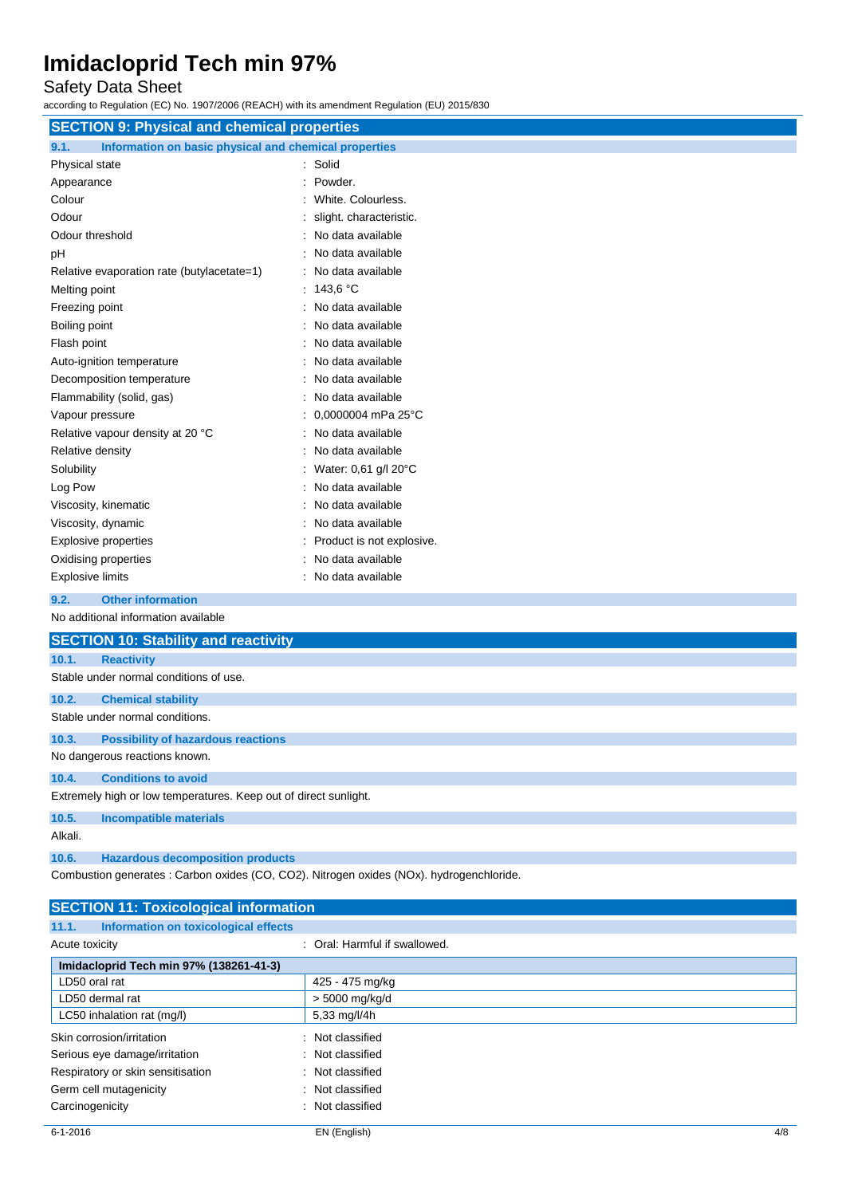Safety Data Sheet

according to Regulation (EC) No. 1907/2006 (REACH) with its amendment Regulation (EU) 2015/830

| <b>SECTION 9: Physical and chemical properties</b>            |                           |  |
|---------------------------------------------------------------|---------------------------|--|
| Information on basic physical and chemical properties<br>9.1. |                           |  |
| Physical state                                                | : Solid                   |  |
| Appearance                                                    | Powder.                   |  |
| Colour                                                        | White, Colourless.        |  |
| Odour                                                         | slight. characteristic.   |  |
| Odour threshold                                               | No data available         |  |
| pH                                                            | No data available         |  |
| Relative evaporation rate (butylacetate=1)                    | No data available         |  |
| Melting point                                                 | : 143.6 °C                |  |
| Freezing point                                                | No data available         |  |
| Boiling point                                                 | No data available         |  |
| Flash point                                                   | No data available         |  |
| Auto-ignition temperature                                     | No data available         |  |
| Decomposition temperature                                     | No data available         |  |
| Flammability (solid, gas)                                     | No data available         |  |
| Vapour pressure                                               | 0,0000004 mPa 25°C        |  |
| Relative vapour density at 20 °C                              | No data available         |  |
| Relative density                                              | No data available         |  |
| Solubility                                                    | Water: 0,61 g/l 20°C      |  |
| Log Pow                                                       | No data available         |  |
| Viscosity, kinematic                                          | No data available         |  |
| Viscosity, dynamic                                            | No data available         |  |
| <b>Explosive properties</b>                                   | Product is not explosive. |  |
| Oxidising properties                                          | No data available         |  |
| <b>Explosive limits</b>                                       | No data available         |  |
| <b>Other information</b><br>9.2.                              |                           |  |
| No additional information available                           |                           |  |
| <b>SECTION 10: Stability and reactivity</b>                   |                           |  |
| 10.1.<br><b>Reactivity</b>                                    |                           |  |
| Stable under normal conditions of use.                        |                           |  |
| 10.2.<br><b>Chemical stability</b>                            |                           |  |

Stable under normal conditions.

**10.3. Possibility of hazardous reactions**

No dangerous reactions known.

### **10.4. Conditions to avoid**

Extremely high or low temperatures. Keep out of direct sunlight.

**10.5. Incompatible materials**

Alkali.

**10.6. Hazardous decomposition products**

Combustion generates : Carbon oxides (CO, CO2). Nitrogen oxides (NOx). hydrogenchloride.

| <b>SECTION 11: Toxicological information</b>  |                               |  |
|-----------------------------------------------|-------------------------------|--|
| 11.1.<br>Information on toxicological effects |                               |  |
| Acute toxicity                                | : Oral: Harmful if swallowed. |  |
| Imidacloprid Tech min 97% (138261-41-3)       |                               |  |
| LD50 oral rat                                 | 425 - 475 mg/kg               |  |
| LD50 dermal rat                               | > 5000 mg/kg/d                |  |
| LC50 inhalation rat (mg/l)                    | 5,33 mg/l/4h                  |  |
| Skin corrosion/irritation                     | Not classified                |  |
| Serious eye damage/irritation                 | : Not classified              |  |
| Respiratory or skin sensitisation             | : Not classified              |  |
| Germ cell mutagenicity                        | : Not classified              |  |
| Carcinogenicity                               | Not classified                |  |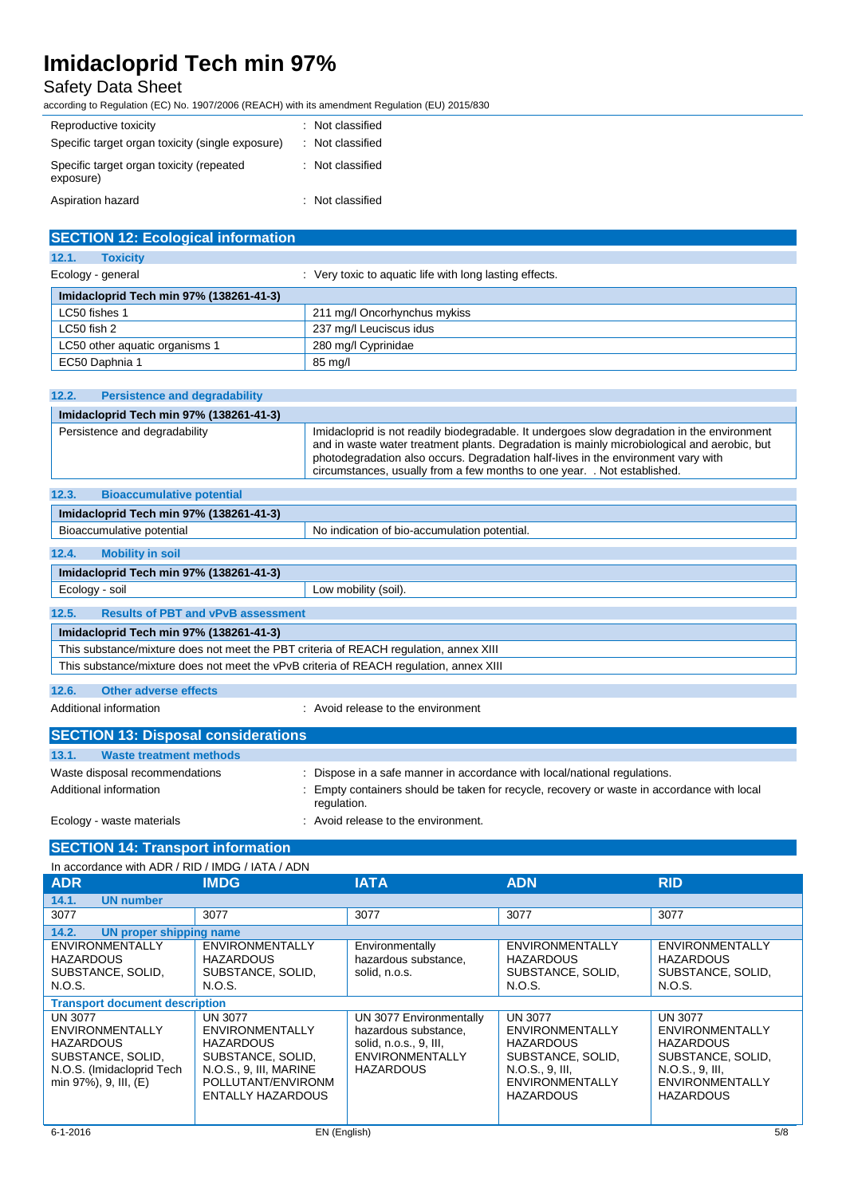## Safety Data Sheet

according to Regulation (EC) No. 1907/2006 (REACH) with its amendment Regulation (EU) 2015/830

| Reproductive toxicity                                 | : Not classified |
|-------------------------------------------------------|------------------|
| Specific target organ toxicity (single exposure)      | : Not classified |
| Specific target organ toxicity (repeated<br>exposure) | : Not classified |
| Aspiration hazard                                     | : Not classified |

| <b>SECTION 12: Ecological information</b> |                                                         |  |
|-------------------------------------------|---------------------------------------------------------|--|
| 12.1.<br><b>Toxicity</b>                  |                                                         |  |
| Ecology - general                         | : Very toxic to aquatic life with long lasting effects. |  |
| Imidacloprid Tech min 97% (138261-41-3)   |                                                         |  |
| LC50 fishes 1                             | 211 mg/l Oncorhynchus mykiss                            |  |
| $LC50$ fish 2                             | 237 mg/l Leuciscus idus                                 |  |
| LC50 other aquatic organisms 1            | 280 mg/l Cyprinidae                                     |  |
| EC50 Daphnia 1                            | 85 mg/l                                                 |  |

| 12.2.<br><b>Persistence and degradability</b>                                          |                                                                                                                                                                                                                                                                                                                                                             |  |
|----------------------------------------------------------------------------------------|-------------------------------------------------------------------------------------------------------------------------------------------------------------------------------------------------------------------------------------------------------------------------------------------------------------------------------------------------------------|--|
| Imidacloprid Tech min 97% (138261-41-3)                                                |                                                                                                                                                                                                                                                                                                                                                             |  |
| Persistence and degradability                                                          | Imidacloprid is not readily biodegradable. It undergoes slow degradation in the environment<br>and in waste water treatment plants. Degradation is mainly microbiological and aerobic, but<br>photodegradation also occurs. Degradation half-lives in the environment vary with<br>circumstances, usually from a few months to one year. . Not established. |  |
| 12.3.<br><b>Bioaccumulative potential</b>                                              |                                                                                                                                                                                                                                                                                                                                                             |  |
| Imidacloprid Tech min 97% (138261-41-3)                                                |                                                                                                                                                                                                                                                                                                                                                             |  |
| Bioaccumulative potential                                                              | No indication of bio-accumulation potential.                                                                                                                                                                                                                                                                                                                |  |
| 12.4.<br><b>Mobility in soil</b>                                                       |                                                                                                                                                                                                                                                                                                                                                             |  |
| Imidacloprid Tech min 97% (138261-41-3)                                                |                                                                                                                                                                                                                                                                                                                                                             |  |
| Ecology - soil                                                                         | Low mobility (soil).                                                                                                                                                                                                                                                                                                                                        |  |
| <b>Results of PBT and vPvB assessment</b><br>12.5.                                     |                                                                                                                                                                                                                                                                                                                                                             |  |
| Imidacloprid Tech min 97% (138261-41-3)                                                |                                                                                                                                                                                                                                                                                                                                                             |  |
| This substance/mixture does not meet the PBT criteria of REACH regulation, annex XIII  |                                                                                                                                                                                                                                                                                                                                                             |  |
| This substance/mixture does not meet the vPvB criteria of REACH regulation, annex XIII |                                                                                                                                                                                                                                                                                                                                                             |  |
|                                                                                        |                                                                                                                                                                                                                                                                                                                                                             |  |

**12.6. Other adverse effects**

Additional information **interest in the environment** : Avoid release to the environment

| <b>SECTION 13: Disposal considerations</b> |                                                                                                         |
|--------------------------------------------|---------------------------------------------------------------------------------------------------------|
| 13.1.<br>Waste treatment methods           |                                                                                                         |
| Waste disposal recommendations             | Dispose in a safe manner in accordance with local/national regulations.                                 |
| Additional information                     | Empty containers should be taken for recycle, recovery or waste in accordance with local<br>regulation. |
| Ecology - waste materials                  | Avoid release to the environment.                                                                       |

### **SECTION 14: Transport information**

| In accordance with ADR / RID / IMDG / IATA / ADN                                                                                 |                                                                                                                                                               |                                                                                                                         |                                                                                                                                                    |                                                                                                                                                    |
|----------------------------------------------------------------------------------------------------------------------------------|---------------------------------------------------------------------------------------------------------------------------------------------------------------|-------------------------------------------------------------------------------------------------------------------------|----------------------------------------------------------------------------------------------------------------------------------------------------|----------------------------------------------------------------------------------------------------------------------------------------------------|
| <b>ADR</b>                                                                                                                       | <b>IMDG</b>                                                                                                                                                   | <b>IATA</b>                                                                                                             | <b>ADN</b>                                                                                                                                         | <b>RID</b>                                                                                                                                         |
| <b>UN number</b><br>14.1.                                                                                                        |                                                                                                                                                               |                                                                                                                         |                                                                                                                                                    |                                                                                                                                                    |
| 3077                                                                                                                             | 3077                                                                                                                                                          | 3077                                                                                                                    | 3077                                                                                                                                               | 3077                                                                                                                                               |
| 14.2.<br><b>UN proper shipping name</b>                                                                                          |                                                                                                                                                               |                                                                                                                         |                                                                                                                                                    |                                                                                                                                                    |
| <b>ENVIRONMENTALLY</b><br><b>HAZARDOUS</b><br>SUBSTANCE, SOLID,<br>N.O.S.                                                        | <b>ENVIRONMENTALLY</b><br><b>HAZARDOUS</b><br>SUBSTANCE, SOLID,<br>N.O.S.                                                                                     | Environmentally<br>hazardous substance,<br>solid, n.o.s.                                                                | <b>ENVIRONMENTALLY</b><br><b>HAZARDOUS</b><br>SUBSTANCE, SOLID,<br>N.O.S.                                                                          | <b>ENVIRONMENTALLY</b><br><b>HAZARDOUS</b><br>SUBSTANCE, SOLID,<br>N.O.S.                                                                          |
| <b>Transport document description</b>                                                                                            |                                                                                                                                                               |                                                                                                                         |                                                                                                                                                    |                                                                                                                                                    |
| UN 3077<br><b>ENVIRONMENTALLY</b><br><b>HAZARDOUS</b><br>SUBSTANCE, SOLID,<br>N.O.S. (Imidacloprid Tech<br>min 97%), 9, III, (E) | <b>UN 3077</b><br><b>ENVIRONMENTALLY</b><br><b>HAZARDOUS</b><br>SUBSTANCE, SOLID,<br>N.O.S., 9, III, MARINE<br>POLLUTANT/ENVIRONM<br><b>ENTALLY HAZARDOUS</b> | UN 3077 Environmentally<br>hazardous substance,<br>solid, n.o.s., 9, III,<br><b>ENVIRONMENTALLY</b><br><b>HAZARDOUS</b> | <b>UN 3077</b><br><b>ENVIRONMENTALLY</b><br><b>HAZARDOUS</b><br>SUBSTANCE, SOLID,<br>N.O.S., 9, III.<br><b>ENVIRONMENTALLY</b><br><b>HAZARDOUS</b> | <b>UN 3077</b><br><b>ENVIRONMENTALLY</b><br><b>HAZARDOUS</b><br>SUBSTANCE, SOLID,<br>N.O.S., 9, III,<br><b>ENVIRONMENTALLY</b><br><b>HAZARDOUS</b> |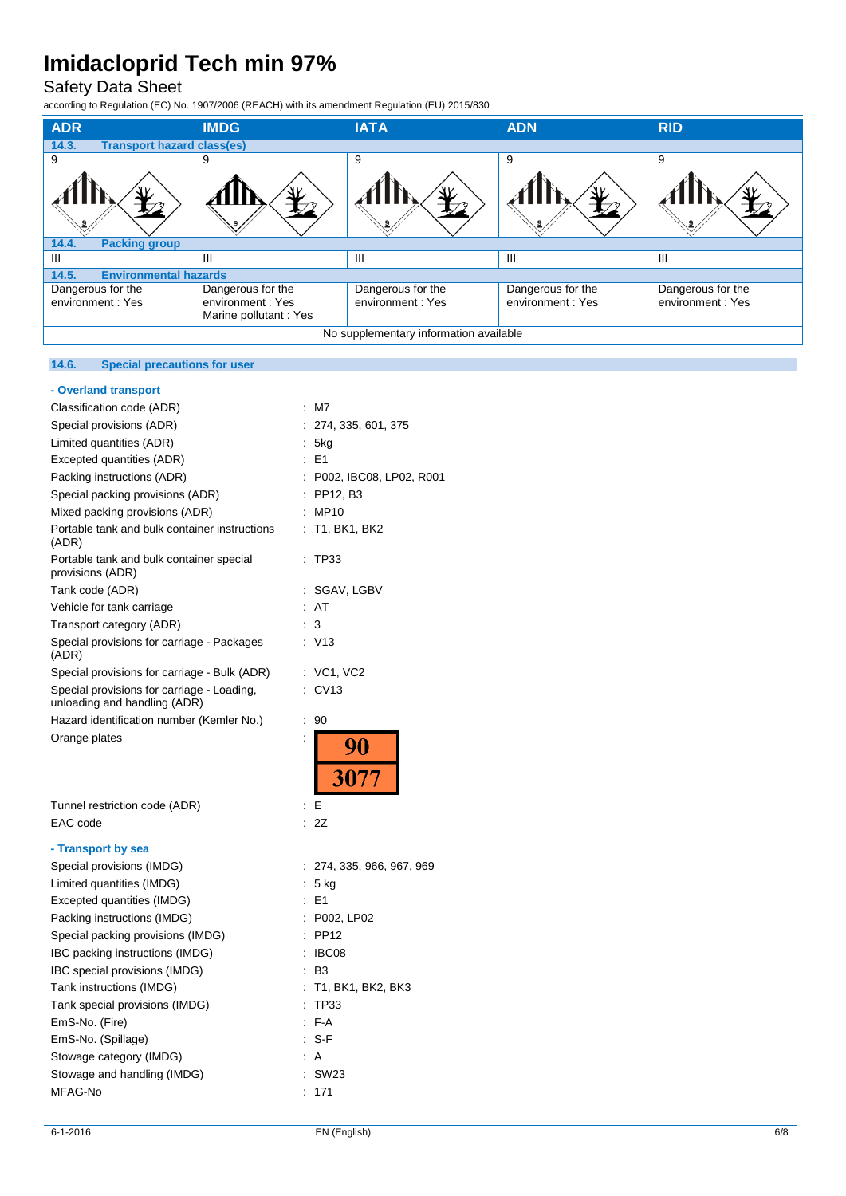## Safety Data Sheet

according to Regulation (EC) No. 1907/2006 (REACH) with its amendment Regulation (EU) 2015/830

| <b>ADR</b>                                 | <b>IMDG</b>                                                     | <b>IATA</b>                           | <b>ADN</b>                            | <b>RID</b>                            |
|--------------------------------------------|-----------------------------------------------------------------|---------------------------------------|---------------------------------------|---------------------------------------|
| 14.3.<br><b>Transport hazard class(es)</b> |                                                                 |                                       |                                       |                                       |
| 9                                          | 9                                                               | 9                                     | 9                                     | 9                                     |
|                                            |                                                                 |                                       |                                       |                                       |
| 14.4.<br><b>Packing group</b>              |                                                                 |                                       |                                       |                                       |
| Ш                                          | Ш                                                               | Ш                                     | Ш                                     | Ш                                     |
| <b>Environmental hazards</b><br>14.5.      |                                                                 |                                       |                                       |                                       |
| Dangerous for the<br>environment: Yes      | Dangerous for the<br>environment: Yes<br>Marine pollutant : Yes | Dangerous for the<br>environment: Yes | Dangerous for the<br>environment: Yes | Dangerous for the<br>environment: Yes |
| No supplementary information available     |                                                                 |                                       |                                       |                                       |

### **14.6. Special precautions for user**

| - Overland transport                                                       |                           |  |
|----------------------------------------------------------------------------|---------------------------|--|
| Classification code (ADR)                                                  | M7                        |  |
| Special provisions (ADR)                                                   | 274, 335, 601, 375        |  |
| Limited quantities (ADR)                                                   | 5kg                       |  |
| Excepted quantities (ADR)                                                  | E1                        |  |
| Packing instructions (ADR)                                                 | P002, IBC08, LP02, R001   |  |
| Special packing provisions (ADR)                                           | PP12, B3                  |  |
| Mixed packing provisions (ADR)                                             | <b>MP10</b><br>t          |  |
| Portable tank and bulk container instructions<br>(ADR)                     | ÷<br>T1, BK1, BK2         |  |
| Portable tank and bulk container special<br>provisions (ADR)               | <b>TP33</b>               |  |
| Tank code (ADR)                                                            | SGAV, LGBV                |  |
| Vehicle for tank carriage                                                  | : AT                      |  |
| Transport category (ADR)                                                   | 3                         |  |
| Special provisions for carriage - Packages<br>(ADR)                        | V <sub>13</sub>           |  |
| Special provisions for carriage - Bulk (ADR)                               | : VC1, VC2                |  |
| Special provisions for carriage - Loading,<br>unloading and handling (ADR) | CV13                      |  |
| Hazard identification number (Kemler No.)                                  | 90<br>÷                   |  |
| Orange plates                                                              | t<br>$\frac{90}{3077}$    |  |
| Tunnel restriction code (ADR)                                              | ÷<br>E                    |  |
| EAC code                                                                   | 2Z<br>÷                   |  |
| - Transport by sea                                                         |                           |  |
| Special provisions (IMDG)                                                  | : 274, 335, 966, 967, 969 |  |
| Limited quantities (IMDG)                                                  | 5 kg<br>÷                 |  |
| Excepted quantities (IMDG)                                                 | E <sub>1</sub>            |  |
| Packing instructions (IMDG)                                                | P002, LP02                |  |
| Special packing provisions (IMDG)                                          | <b>PP12</b>               |  |
| IBC packing instructions (IMDG)                                            | IBC08                     |  |
| IBC special provisions (IMDG)                                              | B <sub>3</sub>            |  |
| Tank instructions (IMDG)                                                   | T1, BK1, BK2, BK3         |  |
| Tank special provisions (IMDG)                                             | TP33                      |  |

| Special provisions (IMDG)         | : 274, 335, 96  |
|-----------------------------------|-----------------|
| Limited quantities (IMDG)         | $: 5$ kg        |
| Excepted quantities (IMDG)        | : E1            |
| Packing instructions (IMDG)       | : P002, LP02    |
| Special packing provisions (IMDG) | $:$ PP12        |
| IBC packing instructions (IMDG)   | : IBCO8         |
| IBC special provisions (IMDG)     | : B3            |
| Tank instructions (IMDG)          | $:$ T1, BK1, BK |
| Tank special provisions (IMDG)    | : TP33          |
| EmS-No. (Fire)                    | $F-A$           |
| EmS-No. (Spillage)                | SSF             |
| Stowage category (IMDG)           | : A             |
| Stowage and handling (IMDG)       | $:$ SW23        |
| MFAG-No                           | : 171           |
|                                   |                 |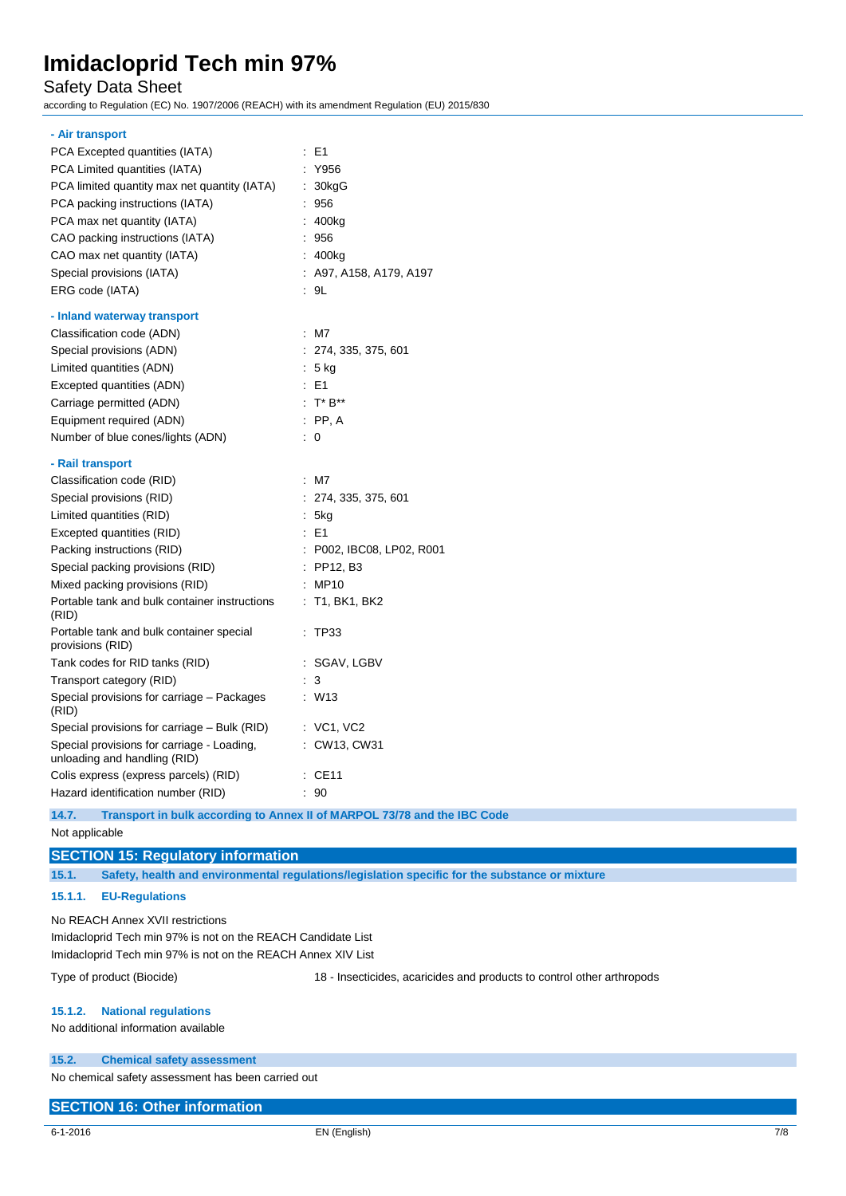### Safety Data Sheet

according to Regulation (EC) No. 1907/2006 (REACH) with its amendment Regulation (EU) 2015/830

### **- Air transport**

| PCA Excepted quantities (IATA)                                             |                      | E1                        |
|----------------------------------------------------------------------------|----------------------|---------------------------|
| PCA Limited quantities (IATA)                                              |                      | Y956                      |
| PCA limited quantity max net quantity (IATA)                               | ÷                    | 30kgG                     |
| PCA packing instructions (IATA)                                            |                      | 956                       |
| PCA max net quantity (IATA)                                                |                      | 400kg                     |
| CAO packing instructions (IATA)                                            |                      | 956                       |
| CAO max net quantity (IATA)                                                |                      | 400kg                     |
| Special provisions (IATA)                                                  |                      | A97, A158, A179, A197     |
| ERG code (IATA)                                                            |                      | : 9L                      |
| - Inland waterway transport                                                |                      |                           |
| Classification code (ADN)                                                  | ÷                    | M7                        |
| Special provisions (ADN)                                                   |                      | : 274, 335, 375, 601      |
| Limited quantities (ADN)                                                   | ÷                    | 5 kg                      |
| Excepted quantities (ADN)                                                  |                      | E <sub>1</sub>            |
| Carriage permitted (ADN)                                                   |                      | $: T^*B^{**}$             |
| Equipment required (ADN)                                                   |                      | $\therefore$ PP, A        |
| Number of blue cones/lights (ADN)                                          | ÷.                   | 0                         |
| - Rail transport                                                           |                      |                           |
| Classification code (RID)                                                  |                      | : M7                      |
| Special provisions (RID)                                                   |                      | : 274, 335, 375, 601      |
| Limited quantities (RID)                                                   |                      | : 5kg                     |
| Excepted quantities (RID)                                                  |                      | $E = 1$                   |
| Packing instructions (RID)                                                 |                      | : P002, IBC08, LP02, R001 |
| Special packing provisions (RID)                                           |                      | $:$ PP12, B3              |
| Mixed packing provisions (RID)                                             |                      | : MP10                    |
| Portable tank and bulk container instructions<br>(RID)                     |                      | : T1, BK1, BK2            |
| Portable tank and bulk container special<br>provisions (RID)               |                      | TP33                      |
| Tank codes for RID tanks (RID)                                             |                      | SGAV, LGBV                |
| Transport category (RID)                                                   |                      | 3                         |
| Special provisions for carriage - Packages<br>(RID)                        | ÷.                   | W <sub>13</sub>           |
| Special provisions for carriage – Bulk (RID)                               |                      | $:$ VC1, VC2              |
| Special provisions for carriage - Loading,<br>unloading and handling (RID) |                      | : CW13, CW31              |
| Colis express (express parcels) (RID)                                      | $\ddot{\phantom{a}}$ | <b>CE11</b>               |
| Hazard identification number (RID)                                         |                      | 90                        |

**14.7. Transport in bulk according to Annex II of MARPOL 73/78 and the IBC Code**

### Not applicable

### **SECTION 15: Regulatory information**

**15.1. Safety, health and environmental regulations/legislation specific for the substance or mixture**

### **15.1.1. EU-Regulations**

No REACH Annex XVII restrictions Imidacloprid Tech min 97% is not on the REACH Candidate List Imidacloprid Tech min 97% is not on the REACH Annex XIV List

Type of product (Biocide) 18 - Insecticides, acaricides and products to control other arthropods

### **15.1.2. National regulations**

No additional information available

### **15.2. Chemical safety assessment**

No chemical safety assessment has been carried out

### **SECTION 16: Other information**